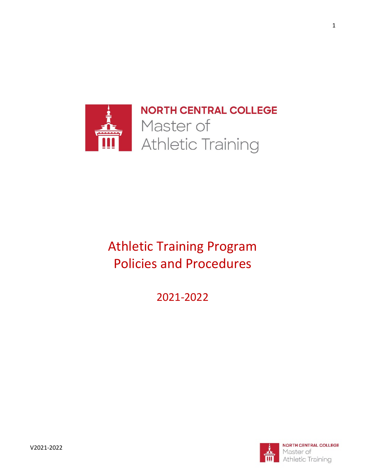

**NORTH CENTRAL COLLEGE** Master of Athletic Training

# Athletic Training Program Policies and Procedures

2021-2022

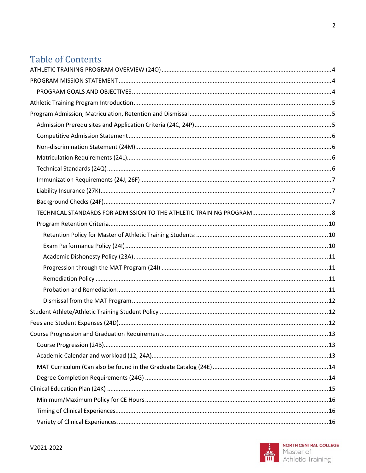# **Table of Contents**

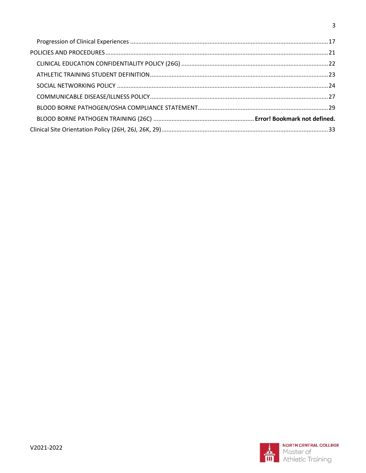<span id="page-2-0"></span>



 $\mathbf{3}$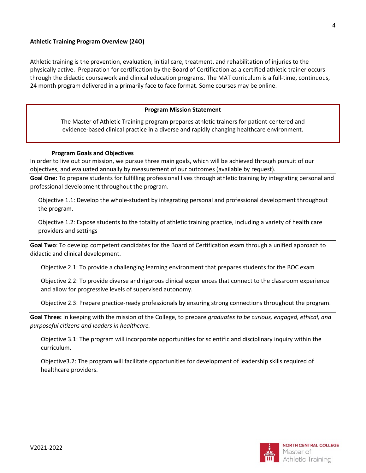#### **Athletic Training Program Overview (24O)**

<span id="page-3-0"></span>Athletic training is the prevention, evaluation, initial care, treatment, and rehabilitation of injuries to the physically active. Preparation for certification by the Board of Certification as a certified athletic trainer occurs through the didactic coursework and clinical education programs. The MAT curriculum is a full-time, continuous, 24 month program delivered in a primarily face to face format. Some courses may be online.

#### **Program Mission Statement**

The Master of Athletic Training program prepares athletic trainers for patient-centered and evidence-based clinical practice in a diverse and rapidly changing healthcare environment.

#### **Program Goals and Objectives**

<span id="page-3-1"></span>In order to live out our mission, we pursue three main goals, which will be achieved through pursuit of our objectives, and evaluated annually by measurement of our outcomes (available by request).

**Goal One:** To prepare students for fulfilling professional lives through athletic training by integrating personal and professional development throughout the program.

Objective 1.1: Develop the whole-student by integrating personal and professional development throughout the program.

Objective 1.2: Expose students to the totality of athletic training practice, including a variety of health care providers and settings

**Goal Two**: To develop competent candidates for the Board of Certification exam through a unified approach to didactic and clinical development.

Objective 2.1: To provide a challenging learning environment that prepares students for the BOC exam

Objective 2.2: To provide diverse and rigorous clinical experiences that connect to the classroom experience and allow for progressive levels of supervised autonomy.

Objective 2.3: Prepare practice-ready professionals by ensuring strong connections throughout the program.

**Goal Three:** In keeping with the mission of the College, to prepare *graduates to be curious, engaged, ethical, and purposeful citizens and leaders in healthcare.* 

Objective 3.1: The program will incorporate opportunities for scientific and disciplinary inquiry within the curriculum.

Objective3.2: The program will facilitate opportunities for development of leadership skills required of healthcare providers.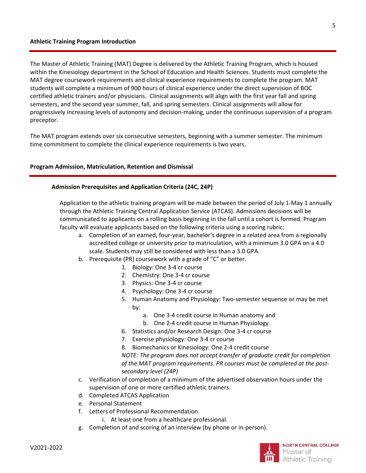<span id="page-4-0"></span>The Master of Athletic Training (MAT) Degree is delivered by the Athletic Training Program, which is housed within the Kinesiology department in the School of Education and Health Sciences. Students must complete the MAT degree coursework requirements and clinical experience requirements to complete the program. MAT students will complete a minimum of 900 hours of clinical experience under the direct supervision of BOC certified athletic trainers and/or physicians. Clinical assignments will align with the first year fall and spring semesters, and the second year summer, fall, and spring semesters. Clinical assignments will allow for progressively increasing levels of autonomy and decision-making, under the continuous supervision of a program preceptor.

<span id="page-4-1"></span>The MAT program extends over six consecutive semesters, beginning with a summer semester. The minimum time commitment to complete the clinical experience requirements is two years.

#### <span id="page-4-2"></span>**Program Admission, Matriculation, Retention and Dismissal**

#### **Admission Prerequisites and Application Criteria (24C, 24P)**

Application to the athletic training program will be made between the period of July 1-May 1 annually through the Athletic Training Central Application Service (ATCAS). Admissions decisions will be communicated to applicants on a rolling basis beginning in the fall until a cohort is formed. Program faculty will evaluate applicants based on the following criteria using a scoring rubric:

- a. Completion of an earned, four-year, bachelor's degree in a related area from a regionally accredited college or university prior to matriculation, with a minimum 3.0 GPA on a 4.0 scale. Students may still be considered with less than a 3.0 GPA.
- b. Prerequisite (PR) coursework with a grade of "C" or better.
	- 1. Biology: One 3-4 cr course
	- 2. Chemistry: One 3-4 cr course
	- 3. Physics: One 3-4 cr course
	- 4. Psychology: One 3-4 cr course
	- 5. Human Anatomy and Physiology: Two-semester sequence or may be met by:
		- a. One 3-4 credit course in Human anatomy and
		- b. One 2-4 credit course in Human Physiology
	- 6. Statistics and/or Research Design: One 3-4 cr course
	- 7. Exercise physiology: One 3-4 cr course

8. Biomechanics or Kinesiology: One 2-4 credit course *NOTE: The program does not accept transfer of graduate credit for completion of the MAT program requirements. PR courses must be completed at the postsecondary level (24P)*

- c. Verification of completion of a minimum of the advertised observation hours under the supervision of one or more certified athletic trainers.
- d. Completed ATCAS Application
- e. Personal Statement
- f. Letters of Professional Recommendation
	- i. At least one from a healthcare professional.
- g. Completion of and scoring of an interview (by phone or in-person).

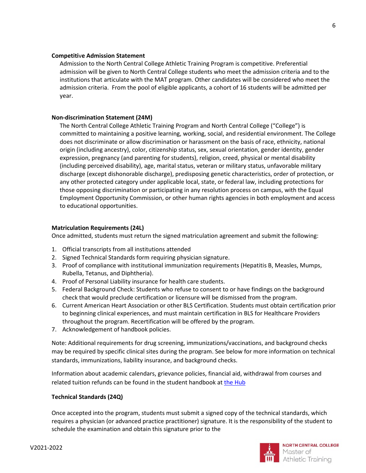#### <span id="page-5-0"></span>**Competiti**v**e Admission Statement**

Admission to the North Central College Athletic Training Program is competitive. Preferential admission will be given to North Central College students who meet the admission criteria and to the institutions that articulate with the MAT program. Other candidates will be considered who meet the admission criteria. From the pool of eligible applicants, a cohort of 16 students will be admitted per year.

#### <span id="page-5-1"></span>**Non-discrimination Statement (24M)**

The North Central College Athletic Training Program and North Central College ("College") is committed to maintaining a positive learning, working, social, and residential environment. The College does not discriminate or allow discrimination or harassment on the basis of race, ethnicity, national origin (including ancestry), color, citizenship status, sex, sexual orientation, gender identity, gender expression, pregnancy (and parenting for students), religion, creed, physical or mental disability (including perceived disability), age, marital status, veteran or military status, unfavorable military discharge (except dishonorable discharge), predisposing genetic characteristics, order of protection, or any other protected category under applicable local, state, or federal law, including protections for those opposing discrimination or participating in any resolution process on campus, with the Equal Employment Opportunity Commission, or other human rights agencies in both employment and access to educational opportunities.

#### <span id="page-5-2"></span>**Matriculation Requirements (24L)**

Once admitted, students must return the signed matriculation agreement and submit the following:

- 1. Official transcripts from all institutions attended
- 2. Signed Technical Standards form requiring physician signature.
- 3. Proof of compliance with institutional immunization requirements (Hepatitis B, Measles, Mumps, Rubella, Tetanus, and Diphtheria).
- 4. Proof of Personal Liability insurance for health care students.
- 5. Federal Background Check: Students who refuse to consent to or have findings on the background check that would preclude certification or licensure will be dismissed from the program.
- 6. Current American Heart Association or other BLS Certification. Students must obtain certification prior to beginning clinical experiences, and must maintain certification in BLS for Healthcare Providers throughout the program. Recertification will be offered by the program.
- 7. Acknowledgement of handbook policies.

Note: Additional requirements for drug screening, immunizations/vaccinations, and background checks may be required by specific clinical sites during the program. See below for more information on technical standards, immunizations, liability insurance, and background checks.

Information about academic calendars, grievance policies, financial aid, withdrawal from courses and related tuition refunds can be found in the student handbook at the [Hub](https://hub.northcentralcollege.edu/documents/preview/15271/2020-2021-Student-Handbook)

# <span id="page-5-3"></span>**Technical Standards (24Q)**

Once accepted into the program, students must submit a signed copy of the technical standards, which requires a physician (or advanced practice practitioner) signature. It is the responsibility of the student to schedule the examination and obtain this signature prior to the

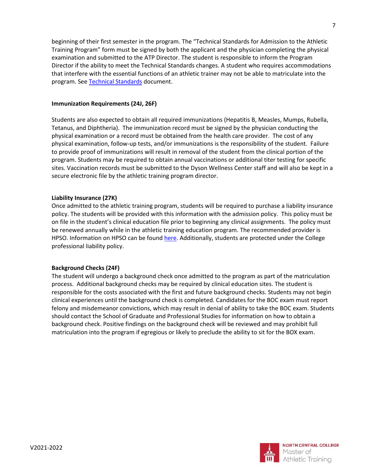beginning of their first semester in the program. The "Technical Standards for Admission to the Athletic Training Program" form must be signed by both the applicant and the physician completing the physical examination and submitted to the ATP Director. The student is responsible to inform the Program Director if the ability to meet the Technical Standards changes. A student who requires accommodations that interfere with the essential functions of an athletic trainer may not be able to matriculate into the program. Se[e Technical Standards](#page-6-3) document.

#### <span id="page-6-0"></span>**Immunization Requirements (24J, 26F)**

Students are also expected to obtain all required immunizations (Hepatitis B, Measles, Mumps, Rubella, Tetanus, and Diphtheria). The immunization record must be signed by the physician conducting the physical examination or a record must be obtained from the health care provider. The cost of any physical examination, follow-up tests, and/or immunizations is the responsibility of the student. Failure to provide proof of immunizations will result in removal of the student from the clinical portion of the program. Students may be required to obtain annual vaccinations or additional titer testing for specific sites. Vaccination records must be submitted to the Dyson Wellness Center staff and will also be kept in a secure electronic file by the athletic training program director.

#### <span id="page-6-1"></span>**Liability Insurance (27K)**

Once admitted to the athletic training program, students will be required to purchase a liability insurance policy. The students will be provided with this information with the admission policy. This policy must be on file in the student's clinical education file prior to beginning any clinical assignments. The policy must be renewed annually while in the athletic training education program. The recommended provider is HPSO. Information on HPSO can be foun[d here.](http://www.hpso.com/individuals/professional-liability/student-malpractice-insurance-coverage-description) Additionally, students are protected under the College professional liability policy.

# <span id="page-6-2"></span>**Background Checks (24F)**

<span id="page-6-3"></span>The student will undergo a background check once admitted to the program as part of the matriculation process. Additional background checks may be required by clinical education sites. The student is responsible for the costs associated with the first and future background checks. Students may not begin clinical experiences until the background check is completed. Candidates for the BOC exam must report felony and misdemeanor convictions, which may result in denial of ability to take the BOC exam. Students should contact the School of Graduate and Professional Studies for information on how to obtain a background check. Positive findings on the background check will be reviewed and may prohibit full matriculation into the program if egregious or likely to preclude the ability to sit for the BOX exam.

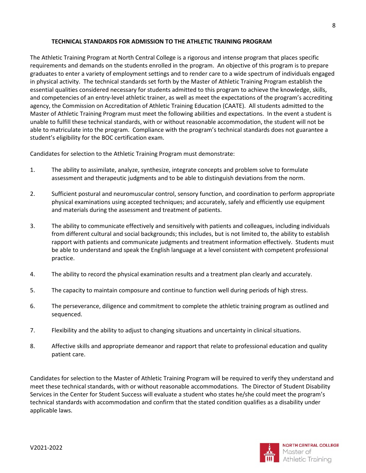#### **TECHNICAL STANDARDS FOR ADMISSION TO THE ATHLETIC TRAINING PROGRAM**

<span id="page-7-0"></span>The Athletic Training Program at North Central College is a rigorous and intense program that places specific requirements and demands on the students enrolled in the program. An objective of this program is to prepare graduates to enter a variety of employment settings and to render care to a wide spectrum of individuals engaged in physical activity. The technical standards set forth by the Master of Athletic Training Program establish the essential qualities considered necessary for students admitted to this program to achieve the knowledge, skills, and competencies of an entry-level athletic trainer, as well as meet the expectations of the program's accrediting agency, the Commission on Accreditation of Athletic Training Education (CAATE). All students admitted to the Master of Athletic Training Program must meet the following abilities and expectations. In the event a student is unable to fulfill these technical standards, with or without reasonable accommodation, the student will not be able to matriculate into the program. Compliance with the program's technical standards does not guarantee a student's eligibility for the BOC certification exam.

Candidates for selection to the Athletic Training Program must demonstrate:

- 1. The ability to assimilate, analyze, synthesize, integrate concepts and problem solve to formulate assessment and therapeutic judgments and to be able to distinguish deviations from the norm.
- 2. Sufficient postural and neuromuscular control, sensory function, and coordination to perform appropriate physical examinations using accepted techniques; and accurately, safely and efficiently use equipment and materials during the assessment and treatment of patients.
- 3. The ability to communicate effectively and sensitively with patients and colleagues, including individuals from different cultural and social backgrounds; this includes, but is not limited to, the ability to establish rapport with patients and communicate judgments and treatment information effectively. Students must be able to understand and speak the English language at a level consistent with competent professional practice.
- 4. The ability to record the physical examination results and a treatment plan clearly and accurately.
- 5. The capacity to maintain composure and continue to function well during periods of high stress.
- 6. The perseverance, diligence and commitment to complete the athletic training program as outlined and sequenced.
- 7. Flexibility and the ability to adjust to changing situations and uncertainty in clinical situations.
- 8. Affective skills and appropriate demeanor and rapport that relate to professional education and quality patient care.

Candidates for selection to the Master of Athletic Training Program will be required to verify they understand and meet these technical standards, with or without reasonable accommodations. The Director of Student Disability Services in the Center for Student Success will evaluate a student who states he/she could meet the program's technical standards with accommodation and confirm that the stated condition qualifies as a disability under applicable laws.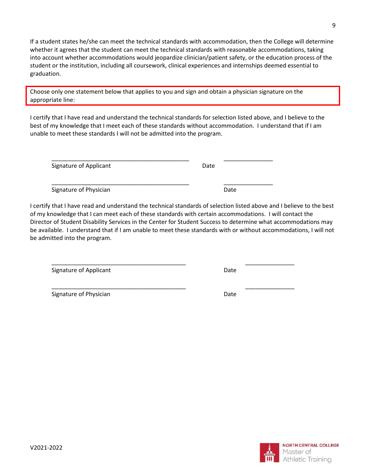If a student states he/she can meet the technical standards with accommodation, then the College will determine whether it agrees that the student can meet the technical standards with reasonable accommodations, taking into account whether accommodations would jeopardize clinician/patient safety, or the education process of the student or the institution, including all coursework, clinical experiences and internships deemed essential to graduation.

Choose only one statement below that applies to you and sign and obtain a physician signature on the appropriate line:

\_\_\_\_\_\_\_\_\_\_\_\_\_\_\_\_\_\_\_\_\_\_\_\_\_\_\_\_\_\_\_\_\_\_\_\_\_\_\_\_\_\_ \_\_\_\_\_\_\_\_\_\_\_\_\_\_\_

I certify that I have read and understand the technical standards for selection listed above, and I believe to the best of my knowledge that I meet each of these standards without accommodation. I understand that if I am unable to meet these standards I will not be admitted into the program.

Signature of Applicant Date Date

\_\_\_\_\_\_\_\_\_\_\_\_\_\_\_\_\_\_\_\_\_\_\_\_\_\_\_\_\_\_\_\_\_\_\_\_\_\_\_\_\_\_ \_\_\_\_\_\_\_\_\_\_\_\_\_\_\_ Signature of Physician **Date** Date **Date** 

I certify that I have read and understand the technical standards of selection listed above and I believe to the best of my knowledge that I can meet each of these standards with certain accommodations. I will contact the Director of Student Disability Services in the Center for Student Success to determine what accommodations may be available. I understand that if I am unable to meet these standards with or without accommodations, I will not be admitted into the program.

\_\_\_\_\_\_\_\_\_\_\_\_\_\_\_\_\_\_\_\_\_\_\_\_\_\_\_\_\_\_\_\_\_\_\_\_\_\_\_\_\_ \_\_\_\_\_\_\_\_\_\_\_\_\_\_\_

Signature of Applicant Date Controller and Date Date

\_\_\_\_\_\_\_\_\_\_\_\_\_\_\_\_\_\_\_\_\_\_\_\_\_\_\_\_\_\_\_\_\_\_\_\_\_\_\_\_\_ \_\_\_\_\_\_\_\_\_\_\_\_\_\_\_ Signature of Physician **Date** Date Date

NORTH CENTRAL COLLEGE Master of Athletic Training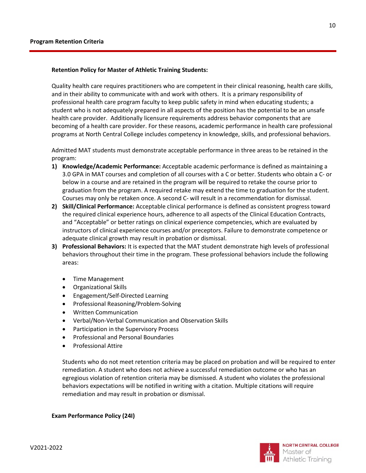#### <span id="page-9-1"></span><span id="page-9-0"></span>**Retention Policy for Master of Athletic Training Students:**

Quality health care requires practitioners who are competent in their clinical reasoning, health care skills, and in their ability to communicate with and work with others. It is a primary responsibility of professional health care program faculty to keep public safety in mind when educating students; a student who is not adequately prepared in all aspects of the position has the potential to be an unsafe health care provider. Additionally licensure requirements address behavior components that are becoming of a health care provider. For these reasons, academic performance in health care professional programs at North Central College includes competency in knowledge, skills, and professional behaviors.

Admitted MAT students must demonstrate acceptable performance in three areas to be retained in the program:

- **1) Knowledge/Academic Performance:** Acceptable academic performance is defined as maintaining a 3.0 GPA in MAT courses and completion of all courses with a C or better. Students who obtain a C- or below in a course and are retained in the program will be required to retake the course prior to graduation from the program. A required retake may extend the time to graduation for the student. Courses may only be retaken once. A second C- will result in a recommendation for dismissal.
- **2) Skill/Clinical Performance:** Acceptable clinical performance is defined as consistent progress toward the required clinical experience hours, adherence to all aspects of the Clinical Education Contracts, and "Acceptable" or better ratings on clinical experience competencies, which are evaluated by instructors of clinical experience courses and/or preceptors. Failure to demonstrate competence or adequate clinical growth may result in probation or dismissal.
- **3) Professional Behaviors:** It is expected that the MAT student demonstrate high levels of professional behaviors throughout their time in the program. These professional behaviors include the following areas:
	- Time Management
	- Organizational Skills
	- Engagement/Self-Directed Learning
	- Professional Reasoning/Problem-Solving
	- Written Communication
	- Verbal/Non-Verbal Communication and Observation Skills
	- Participation in the Supervisory Process
	- Professional and Personal Boundaries
	- Professional Attire

Students who do not meet retention criteria may be placed on probation and will be required to enter remediation. A student who does not achieve a successful remediation outcome or who has an egregious violation of retention criteria may be dismissed. A student who violates the professional behaviors expectations will be notified in writing with a citation. Multiple citations will require remediation and may result in probation or dismissal.

<span id="page-9-2"></span>**Exam Performance Policy (24I)**

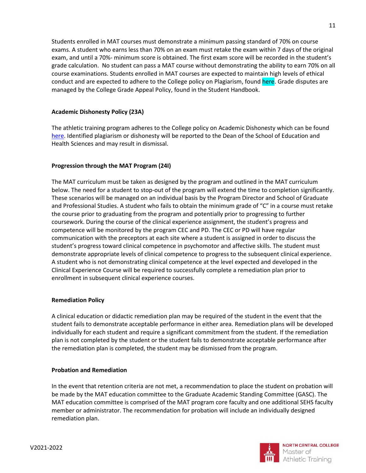Students enrolled in MAT courses must demonstrate a minimum passing standard of 70% on course exams. A student who earns less than 70% on an exam must retake the exam within 7 days of the original exam, and until a 70%- minimum score is obtained. The first exam score will be recorded in the student's grade calculation. No student can pass a MAT course without demonstrating the ability to earn 70% on all course examinations. Students enrolled in MAT courses are expected to maintain high levels of ethical conduct and are expected to adhere to the College policy on Plagiarism, found here. Grade disputes are managed by the College Grade Appeal Policy, found in the Student Handbook.

# <span id="page-10-0"></span>**Academic Dishonesty Policy (23A)**

The athletic training program adheres to the College policy on Academic Dishonesty which can be found [here.](http://catalog.noctrl.edu/content.php?catoid=19&navoid=1545#Academic_Dishonesty) Identified plagiarism or dishonesty will be reported to the Dean of the School of Education and Health Sciences and may result in dismissal.

# <span id="page-10-1"></span>**Progression through the MAT Program (24I)**

The MAT curriculum must be taken as designed by the program and outlined in the MAT curriculum below. The need for a student to stop-out of the program will extend the time to completion significantly. These scenarios will be managed on an individual basis by the Program Director and School of Graduate and Professional Studies. A student who fails to obtain the minimum grade of "C" in a course must retake the course prior to graduating from the program and potentially prior to progressing to further coursework. During the course of the clinical experience assignment, the student's progress and competence will be monitored by the program CEC and PD. The CEC or PD will have regular communication with the preceptors at each site where a student is assigned in order to discuss the student's progress toward clinical competence in psychomotor and affective skills. The student must demonstrate appropriate levels of clinical competence to progress to the subsequent clinical experience. A student who is not demonstrating clinical competence at the level expected and developed in the Clinical Experience Course will be required to successfully complete a remediation plan prior to enrollment in subsequent clinical experience courses.

# <span id="page-10-2"></span>**Remediation Policy**

A clinical education or didactic remediation plan may be required of the student in the event that the student fails to demonstrate acceptable performance in either area. Remediation plans will be developed individually for each student and require a significant commitment from the student. If the remediation plan is not completed by the student or the student fails to demonstrate acceptable performance after the remediation plan is completed, the student may be dismissed from the program.

#### <span id="page-10-3"></span>**Probation and Remediation**

In the event that retention criteria are not met, a recommendation to place the student on probation will be made by the MAT education committee to the Graduate Academic Standing Committee (GASC). The MAT education committee is comprised of the MAT program core faculty and one additional SEHS faculty member or administrator. The recommendation for probation will include an individually designed remediation plan.

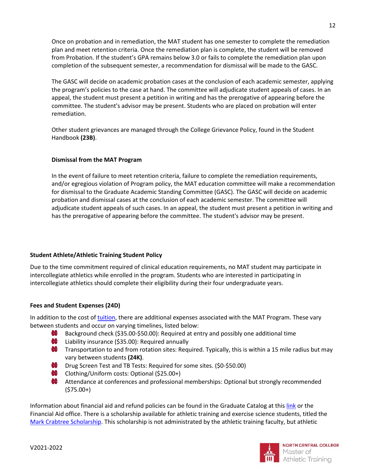Once on probation and in remediation, the MAT student has one semester to complete the remediation plan and meet retention criteria. Once the remediation plan is complete, the student will be removed from Probation. If the student's GPA remains below 3.0 or fails to complete the remediation plan upon completion of the subsequent semester, a recommendation for dismissal will be made to the GASC.

The GASC will decide on academic probation cases at the conclusion of each academic semester, applying the program's policies to the case at hand. The committee will adjudicate student appeals of cases. In an appeal, the student must present a petition in writing and has the prerogative of appearing before the committee. The student's advisor may be present. Students who are placed on probation will enter remediation.

Other student grievances are managed through the College Grievance Policy, found in the Student Handbook **(23B)**.

# <span id="page-11-0"></span>**Dismissal from the MAT Program**

In the event of failure to meet retention criteria, failure to complete the remediation requirements, and/or egregious violation of Program policy, the MAT education committee will make a recommendation for dismissal to the Graduate Academic Standing Committee (GASC). The GASC will decide on academic probation and dismissal cases at the conclusion of each academic semester. The committee will adjudicate student appeals of such cases. In an appeal, the student must present a petition in writing and has the prerogative of appearing before the committee. The student's advisor may be present.

# <span id="page-11-1"></span>**Student Athlete/Athletic Training Student Policy**

Due to the time commitment required of clinical education requirements, no MAT student may participate in intercollegiate athletics while enrolled in the program. Students who are interested in participating in intercollegiate athletics should complete their eligibility during their four undergraduate years.

# <span id="page-11-2"></span>**Fees and Student Expenses (24D)**

In addition to the cost of [tuition,](https://www.northcentralcollege.edu/tuition-aid/graduate) there are additional expenses associated with the MAT Program. These vary between students and occur on varying timelines, listed below:

- **INF** Background check (\$35.00-\$50.00): Required at entry and possibly one additional time
- **INT** Liability insurance (\$35.00): Required annually
- **T** Transportation to and from rotation sites: Required. Typically, this is within a 15 mile radius but may vary between students **(24K)**.
- **Drug Screen Test and TB Tests: Required for some sites. (\$0-\$50.00)**
- Clothing/Uniform costs: Optional (\$25.00+)
- **INC** Attendance at conferences and professional memberships: Optional but strongly recommended (\$75.00+)

Information about financial aid and refund policies can be found in the Graduate Catalog at this [link](http://catalog.noctrl.edu/content.php?catoid=19&navoid=1543&hl=%22financial+aid%22&returnto=search) or the Financial Aid office. There is a scholarship available for athletic training and exercise science students, titled the [Mark Crabtree Scholarship.](https://northcentralcollege.academicworks.com/opportunities/3304) This scholarship is not administrated by the athletic training faculty, but athletic

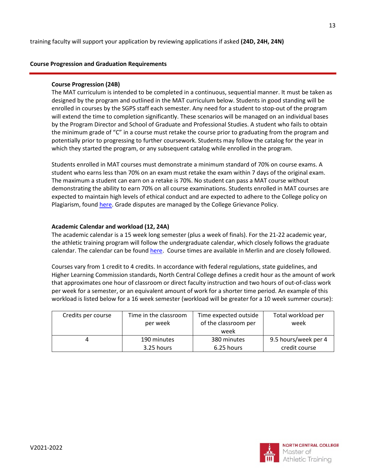# <span id="page-12-1"></span><span id="page-12-0"></span>**Course Progression and Graduation Requirements**

#### **Course Progression (24B)**

The MAT curriculum is intended to be completed in a continuous, sequential manner. It must be taken as designed by the program and outlined in the MAT curriculum below. Students in good standing will be enrolled in courses by the SGPS staff each semester. Any need for a student to stop-out of the program will extend the time to completion significantly. These scenarios will be managed on an individual bases by the Program Director and School of Graduate and Professional Studies. A student who fails to obtain the minimum grade of "C" in a course must retake the course prior to graduating from the program and potentially prior to progressing to further coursework. Students may follow the catalog for the year in which they started the program, or any subsequent catalog while enrolled in the program.

Students enrolled in MAT courses must demonstrate a minimum standard of 70% on course exams. A student who earns less than 70% on an exam must retake the exam within 7 days of the original exam. The maximum a student can earn on a retake is 70%. No student can pass a MAT course without demonstrating the ability to earn 70% on all course examinations. Students enrolled in MAT courses are expected to maintain high levels of ethical conduct and are expected to adhere to the College policy on Plagiarism, foun[d here.](http://catalog.noctrl.edu/content.php?catoid=15&navoid=1131#Academic_Dishonesty) Grade disputes are managed by the College Grievance Policy.

#### <span id="page-12-2"></span>**Academic Calendar and workload (12, 24A)**

The academic calendar is a 15 week long semester (plus a week of finals). For the 21-22 academic year, the athletic training program will follow the undergraduate calendar, which closely follows the graduate calendar. The calendar can be found [here.](http://catalog.noctrl.edu/content.php?catoid=18&navoid=1444) Course times are available in Merlin and are closely followed.

Courses vary from 1 credit to 4 credits. In accordance with federal regulations, state guidelines, and Higher Learning Commission standards, North Central College defines a credit hour as the amount of work that approximates one hour of classroom or direct faculty instruction and two hours of out-of-class work per week for a semester, or an equivalent amount of work for a shorter time period. An example of this workload is listed below for a 16 week semester (workload will be greater for a 10 week summer course):

| Credits per course | Time in the classroom     | Time expected outside     | Total workload per                            |  |
|--------------------|---------------------------|---------------------------|-----------------------------------------------|--|
|                    | per week                  | of the classroom per      | week                                          |  |
|                    | 190 minutes<br>3.25 hours | 380 minutes<br>6.25 hours | week<br>9.5 hours/week per 4<br>credit course |  |

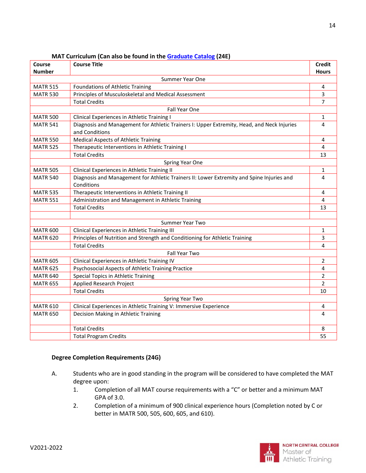<span id="page-13-0"></span>

| Course          | <b>Course Title</b>                                                                                          | <b>Credit</b>  |  |  |  |  |
|-----------------|--------------------------------------------------------------------------------------------------------------|----------------|--|--|--|--|
| <b>Number</b>   |                                                                                                              | <b>Hours</b>   |  |  |  |  |
|                 | Summer Year One                                                                                              |                |  |  |  |  |
| <b>MATR 515</b> | Foundations of Athletic Training                                                                             | 4              |  |  |  |  |
| <b>MATR 530</b> | Principles of Musculoskeletal and Medical Assessment                                                         | 3              |  |  |  |  |
|                 | <b>Total Credits</b>                                                                                         | 7              |  |  |  |  |
|                 | Fall Year One                                                                                                |                |  |  |  |  |
| <b>MATR 500</b> | Clinical Experiences in Athletic Training I                                                                  | 1              |  |  |  |  |
| <b>MATR 541</b> | Diagnosis and Management for Athletic Trainers I: Upper Extremity, Head, and Neck Injuries<br>and Conditions | 4              |  |  |  |  |
| <b>MATR 550</b> | <b>Medical Aspects of Athletic Training</b>                                                                  | 4              |  |  |  |  |
| <b>MATR 525</b> | Therapeutic Interventions in Athletic Training I                                                             | 4              |  |  |  |  |
|                 | <b>Total Credits</b>                                                                                         | 13             |  |  |  |  |
|                 | Spring Year One                                                                                              |                |  |  |  |  |
| <b>MATR 505</b> | Clinical Experiences in Athletic Training II                                                                 | 1              |  |  |  |  |
| <b>MATR 540</b> | Diagnosis and Management for Athletic Trainers II: Lower Extremity and Spine Injuries and<br>Conditions      | 4              |  |  |  |  |
| <b>MATR 535</b> | Therapeutic Interventions in Athletic Training II                                                            | 4              |  |  |  |  |
| <b>MATR 551</b> | Administration and Management in Athletic Training                                                           | 4              |  |  |  |  |
|                 | <b>Total Credits</b>                                                                                         | 13             |  |  |  |  |
|                 |                                                                                                              |                |  |  |  |  |
|                 | Summer Year Two                                                                                              |                |  |  |  |  |
| <b>MATR 600</b> | Clinical Experiences in Athletic Training III                                                                | 1              |  |  |  |  |
| <b>MATR 620</b> | Principles of Nutrition and Strength and Conditioning for Athletic Training                                  | 3              |  |  |  |  |
|                 | <b>Total Credits</b>                                                                                         | 4              |  |  |  |  |
|                 | Fall Year Two                                                                                                |                |  |  |  |  |
| <b>MATR 605</b> | Clinical Experiences in Athletic Training IV                                                                 | 2              |  |  |  |  |
| <b>MATR 625</b> | Psychosocial Aspects of Athletic Training Practice                                                           | 4              |  |  |  |  |
| <b>MATR 640</b> | Special Topics in Athletic Training                                                                          | $\overline{2}$ |  |  |  |  |
| <b>MATR 655</b> | Applied Research Project                                                                                     | $\overline{2}$ |  |  |  |  |
|                 | <b>Total Credits</b>                                                                                         | 10             |  |  |  |  |
|                 | Spring Year Two                                                                                              |                |  |  |  |  |
| <b>MATR 610</b> | Clinical Experiences in Athletic Training V: Immersive Experience                                            | 4              |  |  |  |  |
| <b>MATR 650</b> | Decision Making in Athletic Training                                                                         | 4              |  |  |  |  |
|                 | <b>Total Credits</b>                                                                                         | 8              |  |  |  |  |
|                 | <b>Total Program Credits</b>                                                                                 | 55             |  |  |  |  |

# **MAT Curriculum (Can also be found in th[e Graduate Catalog](http://catalog.noctrl.edu/index.php) (24E)**

# <span id="page-13-1"></span>**Degree Completion Requirements (24G)**

- A. Students who are in good standing in the program will be considered to have completed the MAT degree upon:
	- 1. Completion of all MAT course requirements with a "C" or better and a minimum MAT GPA of 3.0.
	- 2. Completion of a minimum of 900 clinical experience hours (Completion noted by C or better in MATR 500, 505, 600, 605, and 610).

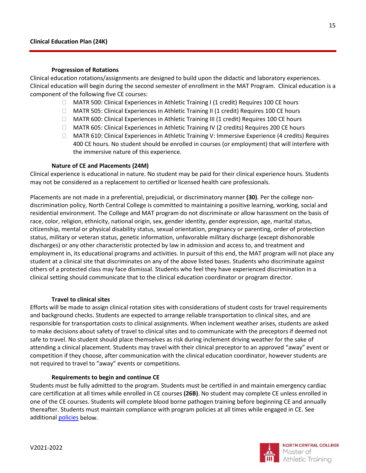#### <span id="page-14-0"></span>**Progression of Rotations**

Clinical education rotations/assignments are designed to build upon the didactic and laboratory experiences. Clinical education will begin during the second semester of enrollment in the MAT Program. Clinical education is a component of the following five CE courses:

- $\Box$  MATR 500: Clinical Experiences in Athletic Training I (1 credit) Requires 100 CE hours
- □ MATR 505: Clinical Experiences in Athletic Training II (1 credit) Requires 100 CE hours
- □ MATR 600: Clinical Experiences in Athletic Training III (1 credit) Requires 100 CE hours
- □ MATR 605: Clinical Experiences in Athletic Training IV (2 credits) Requires 200 CE hours
- MATR 610: Clinical Experiences in Athletic Training V: Immersive Experience (4 credits) Requires 400 CE hours. No student should be enrolled in courses (or employment) that will interfere with the immersive nature of this experience.

#### **Nature of CE and Placements (24M)**

Clinical experience is educational in nature. No student may be paid for their clinical experience hours. Students may not be considered as a replacement to certified or licensed health care professionals.

Placements are not made in a preferential, prejudicial, or discriminatory manner **(30)**. Per the college nondiscrimination policy, North Central College is committed to maintaining a positive learning, working, social and residential environment. The College and MAT program do not discriminate or allow harassment on the basis of race, color, religion, ethnicity, national origin, sex, gender identity, gender expression, age, marital status, citizenship, mental or physical disability status, sexual orientation, pregnancy or parenting, order of protection status, military or veteran status, genetic information, unfavorable military discharge (except dishonorable discharges) or any other characteristic protected by law in admission and access to, and treatment and employment in, its educational programs and activities. In pursuit of this end, the MAT program will not place any student at a clinical site that discriminates on any of the above listed bases. Students who discriminate against others of a protected class may face dismissal. Students who feel they have experienced discrimination in a clinical setting should communicate that to the clinical education coordinator or program director.

#### **Travel to clinical sites**

Efforts will be made to assign clinical rotation sites with considerations of student costs for travel requirements and background checks. Students are expected to arrange reliable transportation to clinical sites, and are responsible for transportation costs to clinical assignments. When inclement weather arises, students are asked to make decisions about safety of travel to clinical sites and to communicate with the preceptors if deemed not safe to travel. No student should place themselves as risk during inclement driving weather for the sake of attending a clinical placement. Students may travel with their clinical preceptor to an approved "away" event or competition if they choose, after communication with the clinical education coordinator, however students are not required to travel to "away" events or competitions.

#### **Requirements to begin and continue CE**

Students must be fully admitted to the program. Students must be certified in and maintain emergency cardiac care certification at all times while enrolled in CE courses **(26B)**. No student may complete CE unless enrolled in one of the CE courses. Students will complete blood borne pathogen training before beginning CE and annually thereafter. Students must maintain compliance with program policies at all times while engaged in CE. See additional [policies](#page-20-0) below.

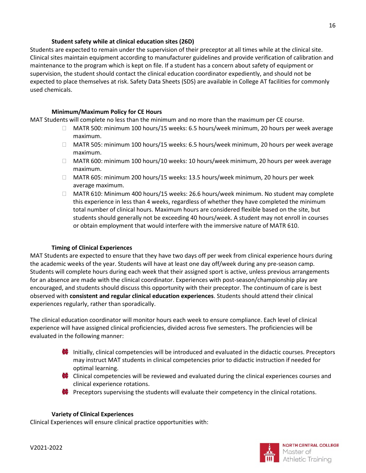# **Student safety while at clinical education sites (26D)**

Students are expected to remain under the supervision of their preceptor at all times while at the clinical site. Clinical sites maintain equipment according to manufacturer guidelines and provide verification of calibration and maintenance to the program which is kept on file. If a student has a concern about safety of equipment or supervision, the student should contact the clinical education coordinator expediently, and should not be expected to place themselves at risk. Safety Data Sheets (SDS) are available in College AT facilities for commonly used chemicals.

# **Minimum/Maximum Policy for CE Hours**

<span id="page-15-0"></span>MAT Students will complete no less than the minimum and no more than the maximum per CE course.

- □ MATR 500: minimum 100 hours/15 weeks: 6.5 hours/week minimum, 20 hours per week average maximum.
- MATR 505: minimum 100 hours/15 weeks: 6.5 hours/week minimum, 20 hours per week average maximum.
- MATR 600: minimum 100 hours/10 weeks: 10 hours/week minimum, 20 hours per week average maximum.
- MATR 605: minimum 200 hours/15 weeks: 13.5 hours/week minimum, 20 hours per week average maximum.
- MATR 610: Minimum 400 hours/15 weeks: 26.6 hours/week minimum. No student may complete this experience in less than 4 weeks, regardless of whether they have completed the minimum total number of clinical hours. Maximum hours are considered flexible based on the site, but students should generally not be exceeding 40 hours/week. A student may not enroll in courses or obtain employment that would interfere with the immersive nature of MATR 610.

# **Timing of Clinical Experiences**

<span id="page-15-1"></span>MAT Students are expected to ensure that they have two days off per week from clinical experience hours during the academic weeks of the year. Students will have at least one day off/week during any pre-season camp. Students will complete hours during each week that their assigned sport is active, unless previous arrangements for an absence are made with the clinical coordinator. Experiences with post-season/championship play are encouraged, and students should discuss this opportunity with their preceptor. The continuum of care is best observed with **consistent and regular clinical education experiences**. Students should attend their clinical experiences regularly, rather than sporadically.

The clinical education coordinator will monitor hours each week to ensure compliance. Each level of clinical experience will have assigned clinical proficiencies, divided across five semesters. The proficiencies will be evaluated in the following manner:

- **Initially, clinical competencies will be introduced and evaluated in the didactic courses. Preceptors** may instruct MAT students in clinical competencies prior to didactic instruction if needed for optimal learning.
- $\bullet$  Clinical competencies will be reviewed and evaluated during the clinical experiences courses and clinical experience rotations.
- **Preceptors supervising the students will evaluate their competency in the clinical rotations.**

# **Variety of Clinical Experiences**

<span id="page-15-2"></span>Clinical Experiences will ensure clinical practice opportunities with:

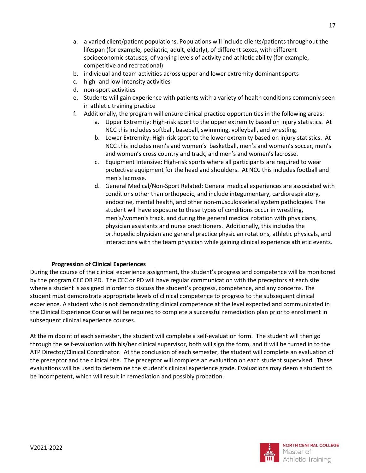- a. a varied client/patient populations. Populations will include clients/patients throughout the lifespan (for example, pediatric, adult, elderly), of different sexes, with different socioeconomic statuses, of varying levels of activity and athletic ability (for example, competitive and recreational)
- b. individual and team activities across upper and lower extremity dominant sports
- c. high- and low-intensity activities
- d. non-sport activities
- e. Students will gain experience with patients with a variety of health conditions commonly seen in athletic training practice
- f. Additionally, the program will ensure clinical practice opportunities in the following areas:
	- a. Upper Extremity: High-risk sport to the upper extremity based on injury statistics. At NCC this includes softball, baseball, swimming, volleyball, and wrestling.
	- b. Lower Extremity: High-risk sport to the lower extremity based on injury statistics. At NCC this includes men's and women's basketball, men's and women's soccer, men's and women's cross country and track, and men's and women's lacrosse.
	- c. Equipment Intensive: High-risk sports where all participants are required to wear protective equipment for the head and shoulders. At NCC this includes football and men's lacrosse.
	- d. General Medical/Non-Sport Related: General medical experiences are associated with conditions other than orthopedic, and include integumentary, cardiorespiratory, endocrine, mental health, and other non-musculoskeletal system pathologies. The student will have exposure to these types of conditions occur in wrestling, men's/women's track, and during the general medical rotation with physicians, physician assistants and nurse practitioners. Additionally, this includes the orthopedic physician and general practice physician rotations, athletic physicals, and interactions with the team physician while gaining clinical experience athletic events.

# **Progression of Clinical Experiences**

<span id="page-16-0"></span>During the course of the clinical experience assignment, the student's progress and competence will be monitored by the program CEC OR PD. The CEC or PD will have regular communication with the preceptors at each site where a student is assigned in order to discuss the student's progress, competence, and any concerns. The student must demonstrate appropriate levels of clinical competence to progress to the subsequent clinical experience. A student who is not demonstrating clinical competence at the level expected and communicated in the Clinical Experience Course will be required to complete a successful remediation plan prior to enrollment in subsequent clinical experience courses.

At the midpoint of each semester, the student will complete a self-evaluation form. The student will then go through the self-evaluation with his/her clinical supervisor, both will sign the form, and it will be turned in to the ATP Director/Clinical Coordinator. At the conclusion of each semester, the student will complete an evaluation of the preceptor and the clinical site. The preceptor will complete an evaluation on each student supervised. These evaluations will be used to determine the student's clinical experience grade. Evaluations may deem a student to be incompetent, which will result in remediation and possibly probation.

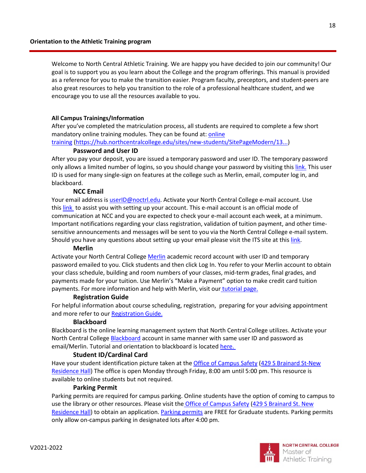Welcome to North Central Athletic Training. We are happy you have decided to join our community! Our goal is to support you as you learn about the College and the program offerings. This manual is provided as a reference for you to make the transition easier. Program faculty, preceptors, and student-peers are also great resources to help you transition to the role of a professional healthcare student, and we encourage you to use all the resources available to you.

#### **All Campus Trainings/Information**

After you've completed the matriculation process, all students are required to complete a few short mandatory online training modules. They can be found at: online

training [\(https://hub.northcentralcollege.edu/sites/new-students/SitePageModern/13...\)](https://hub.northcentralcollege.edu/sites/new-students/SitePageModern/13864/health-safety-requirements)

#### **Password and User ID**

After you pay your deposit, you are issued a temporary password and user ID. The temporary password only allows a limited number of logins, so you should change your password by visiting this [link.](https://password.noctrl.edu/) This user ID is used for many single-sign on features at the college such as Merlin, email, computer log in, and blackboard.

#### **NCC Email**

Your email address is [userID@noctrl.edu.](mailto:userID@noctrl.edu) Activate your North Central College e-mail account. Use this [link](https://outlook.office.com/owa/) to assist you with setting up your account. This e-mail account is an official mode of communication at NCC and you are expected to check your e-mail account each week, at a minimum. Important notifications regarding your class registration, validation of tuition payment, and other timesensitive announcements and messages will be sent to you via the North Central College e-mail system. Should you have any questions about setting up your email please visit the ITS site at this [link.](https://its.noctrl.edu/email)

#### **Merlin**

Activate your North Central College [Merlin](https://merlin.noctrl.edu/WebAdvisor/WebAdvisor?TOKENIDX=5587705165&type=M&constituency=WBST&pid=CORE-WBST) academic record account with user ID and temporary password emailed to you. Click students and then click Log In. You refer to your Merlin account to obtain your class schedule, building and room numbers of your classes, mid-term grades, final grades, and payments made for your tuition. Use Merlin's "Make a Payment" option to make credit card tuition payments. For more information and help with Merlin, visit our [tutorial page.](https://cardinalnet.northcentralcollege.edu/misc/merlin-tutorial)

#### **Registration Guide**

For helpful information about course scheduling, registration, preparing for your advising appointment and more refer to our [Registration Guide.](https://cardinalnet.northcentralcollege.edu/sites/default/files/u915/Graduate%20Student%20Registration%20Guide_0.pdf)

#### **Blackboard**

Blackboard is the online learning management system that North Central College utilizes. Activate your North Central College **[Blackboard](https://blackboard.noctrl.edu/webapps/login/) account in same manner with same user ID and password as** email/Merlin. Tutorial and orientation to blackboard is located [here.](https://cardinalnet.northcentralcollege.edu/sites/default/files/u915/Blackboard%20Orientation%5B1%5D.pdf)

#### **Student ID/Cardinal Card**

Have your student identification picture taken at the [Office of Campus Safety](https://www.northcentralcollege.edu/life-location/campus-safety) [\(429 S Brainard St-New](https://www.northcentralcollege.edu/map)  [Residence Hall\)](https://www.northcentralcollege.edu/map) The office is open Monday through Friday, 8:00 am until 5:00 pm. This resource is available to online students but not required.

#### **Parking Permit**

Parking permits are required for campus parking. Online students have the option of coming to campus to use the library or other resources. Please visit the **[Office of Campus Safety](https://www.northcentralcollege.edu/life-location/campus-safety) [\(429 S Brainard St.](https://www.northcentralcollege.edu/map) New** [Residence Hall\)](https://www.northcentralcollege.edu/map) to obtain an application. [Parking permits](https://hub.northcentralcollege.edu/sites/campus-safety/news/10398/obtaining-a-parking-permit) are FREE for Graduate students. Parking permits only allow on-campus parking in designated lots after 4:00 pm.

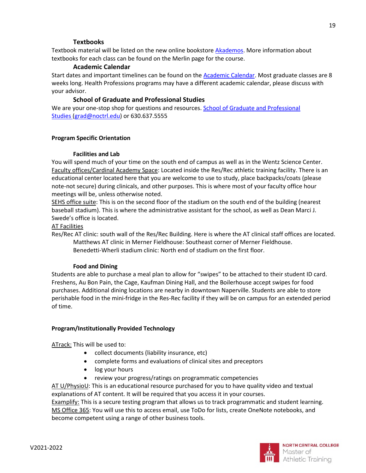# **Textbooks**

Textbook material will be listed on the new online bookstore [Akademos.](https://northcentralcollege.textbookx.com/institutional/index.php) More information about textbooks for each class can be found on the Merlin page for the course.

# **Academic Calendar**

Start dates and important timelines can be found on the **Academic Calendar**. Most graduate classes are 8 weeks long. Health Professions programs may have a different academic calendar, please discuss with your advisor.

# **School of Graduate and Professional Studies**

We are your one-stop shop for questions and resources. School of Graduate and Professional [Studies](https://www.northcentralcollege.edu/graduate) [\(grad@noctrl.edu\)](mailto:grad@noctrl.edu) or 630.637.5555

#### **Program Specific Orientation**

#### **Facilities and Lab**

You will spend much of your time on the south end of campus as well as in the Wentz Science Center. Faculty offices/Cardinal Academy Space: Located inside the Res/Rec athletic training facility. There is an educational center located here that you are welcome to use to study, place backpacks/coats (please note-not secure) during clinicals, and other purposes. This is where most of your faculty office hour meetings will be, unless otherwise noted.

SEHS office suite: This is on the second floor of the stadium on the south end of the building (nearest baseball stadium). This is where the administrative assistant for the school, as well as Dean Marci J. Swede's office is located.

#### AT Facilities

Res/Rec AT clinic: south wall of the Res/Rec Building. Here is where the AT clinical staff offices are located. Matthews AT clinic in Merner Fieldhouse: Southeast corner of Merner Fieldhouse. Benedetti-Wherli stadium clinic: North end of stadium on the first floor.

#### **Food and Dining**

Students are able to purchase a meal plan to allow for "swipes" to be attached to their student ID card. Freshens, Au Bon Pain, the Cage, Kaufman Dining Hall, and the Boilerhouse accept swipes for food purchases. Additional dining locations are nearby in downtown Naperville. Students are able to store perishable food in the mini-fridge in the Res-Rec facility if they will be on campus for an extended period of time.

# **Program/Institutionally Provided Technology**

ATrack: This will be used to:

- collect documents (liability insurance, etc)
- complete forms and evaluations of clinical sites and preceptors
- log your hours
- review your progress/ratings on programmatic competencies

AT U/PhysioU: This is an educational resource purchased for you to have quality video and textual explanations of AT content. It will be required that you access it in your courses.

Examplify: This is a secure testing program that allows us to track programmatic and student learning. MS Office 365: You will use this to access email, use ToDo for lists, create OneNote notebooks, and become competent using a range of other business tools.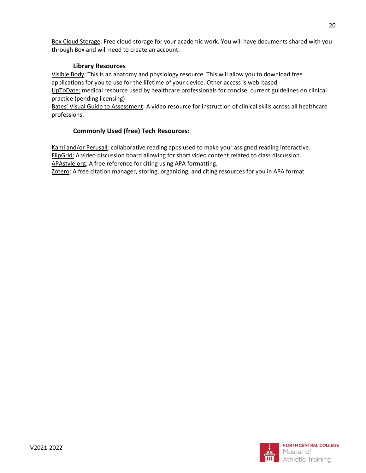Box Cloud Storage: Free cloud storage for your academic work. You will have documents shared with you through Box and will need to create an account.

# **Library Resources**

Visible Body: This is an anatomy and physiology resource. This will allow you to download free applications for you to use for the lifetime of your device. Other access is web-based.

UpToDate: medical resource used by healthcare professionals for concise, current guidelines on clinical practice (pending licensing)

Bates' Visual Guide to Assessment: A video resource for instruction of clinical skills across all healthcare professions.

# **Commonly Used (free) Tech Resources:**

Kami and/or Perusall: collaborative reading apps used to make your assigned reading interactive. FlipGrid: A video discussion board allowing for short video content related to class discussion. APAstyle.org: A free reference for citing using APA formatting.

Zotero: A free citation manager, storing, organizing, and citing resources for you in APA format.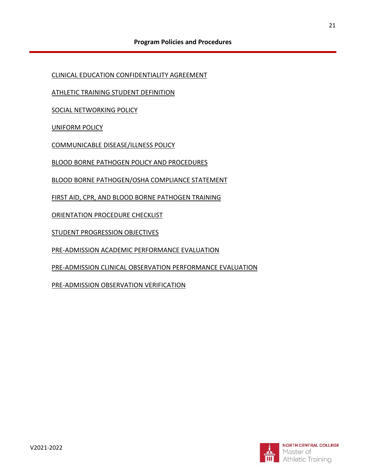<span id="page-20-0"></span>[CLINICAL EDUCATION CONFIDENTIALITY AGREEMENT](#page-21-0)

[ATHLETIC TRAINING STUDENT DEFINITION](#page-21-1)

[SOCIAL NETWORKING POLICY](#page-23-0)

[UNIFORM POLICY](#page-24-0)

[COMMUNICABLE DISEASE/ILLNESS POLICY](#page-26-0)

[BLOOD BORNE PATHOGEN](#page-27-0) POLICY AND PROCEDURES

BLOOD BORNE [PATHOGEN/OSHA COMPLIANCE STATEMENT](#page-28-0)

FIRST AID, CPR, AND BLOOD BORNE PATHOGEN TRAINING

ORIENTATION PROCEDURE CHECKLIST

STUDENT PROGRESSION OBJECTIVES

PRE-ADMISSION ACADEMIC PERFORMANCE EVALUATION

PRE-ADMISSION CLINICAL OBSERVATION PERFORMANCE EVALUATION

PRE-ADMISSION OBSERVATION VERIFICATION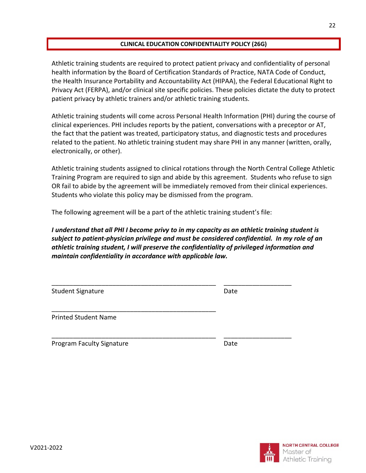# **CLINICAL EDUCATION CONFIDENTIALITY POLICY (26G)**

<span id="page-21-0"></span>Athletic training students are required to protect patient privacy and confidentiality of personal health information by the Board of Certification Standards of Practice, NATA Code of Conduct, the Health Insurance Portability and Accountability Act (HIPAA), the Federal Educational Right to Privacy Act (FERPA), and/or clinical site specific policies. These policies dictate the duty to protect patient privacy by athletic trainers and/or athletic training students.

Athletic training students will come across Personal Health Information (PHI) during the course of clinical experiences. PHI includes reports by the patient, conversations with a preceptor or AT, the fact that the patient was treated, participatory status, and diagnostic tests and procedures related to the patient. No athletic training student may share PHI in any manner (written, orally, electronically, or other).

Athletic training students assigned to clinical rotations through the North Central College Athletic Training Program are required to sign and abide by this agreement. Students who refuse to sign OR fail to abide by the agreement will be immediately removed from their clinical experiences. Students who violate this policy may be dismissed from the program.

The following agreement will be a part of the athletic training student's file:

*I understand that all PHI I become privy to in my capacity as an athletic training student is subject to patient-physician privilege and must be considered confidential. In my role of an athletic training student, I will preserve the confidentiality of privileged information and maintain confidentiality in accordance with applicable law.* 

\_\_\_\_\_\_\_\_\_\_\_\_\_\_\_\_\_\_\_\_\_\_\_\_\_\_\_\_\_\_\_\_\_\_\_\_\_\_\_\_\_\_\_\_\_\_ \_\_\_\_\_\_\_\_\_\_\_\_\_\_\_\_\_\_\_

\_\_\_\_\_\_\_\_\_\_\_\_\_\_\_\_\_\_\_\_\_\_\_\_\_\_\_\_\_\_\_\_\_\_\_\_\_\_\_\_\_\_\_\_\_\_ \_\_\_\_\_\_\_\_\_\_\_\_\_\_\_\_\_\_\_

\_\_\_\_\_\_\_\_\_\_\_\_\_\_\_\_\_\_\_\_\_\_\_\_\_\_\_\_\_\_\_\_\_\_\_\_\_\_\_\_\_\_\_\_\_\_

Student Signature Date Date

Printed Student Name

<span id="page-21-1"></span>Program Faculty Signature **Date** Date

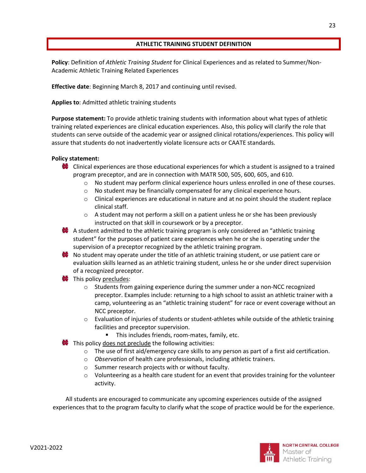# **ATHLETIC TRAINING STUDENT DEFINITION**

<span id="page-22-0"></span>**Policy**: Definition of *Athletic Training Student* for Clinical Experiences and as related to Summer/Non-Academic Athletic Training Related Experiences

**Effective date**: Beginning March 8, 2017 and continuing until revised.

# **Applies to**: Admitted athletic training students

**Purpose statement:** To provide athletic training students with information about what types of athletic training related experiences are clinical education experiences. Also, this policy will clarify the role that students can serve outside of the academic year or assigned clinical rotations/experiences. This policy will assure that students do not inadvertently violate licensure acts or CAATE standards.

# **Policy statement:**

- Clinical experiences are those educational experiences for which a student is assigned to a trained program preceptor, and are in connection with MATR 500, 505, 600, 605, and 610.
	- $\circ$  No student may perform clinical experience hours unless enrolled in one of these courses.
	- $\circ$  No student may be financially compensated for any clinical experience hours.
	- $\circ$  Clinical experiences are educational in nature and at no point should the student replace clinical staff.
	- $\circ$  A student may not perform a skill on a patient unless he or she has been previously instructed on that skill in coursework or by a preceptor.
- $\bullet$  A student admitted to the athletic training program is only considered an "athletic training" student" for the purposes of patient care experiences when he or she is operating under the supervision of a preceptor recognized by the athletic training program.
- $\bullet\hspace{0.1mm}$  No student may operate under the title of an athletic training student, or use patient care or evaluation skills learned as an athletic training student, unless he or she under direct supervision of a recognized preceptor.
- **W** This policy precludes:
	- $\circ$  Students from gaining experience during the summer under a non-NCC recognized preceptor. Examples include: returning to a high school to assist an athletic trainer with a camp, volunteering as an "athletic training student" for race or event coverage without an NCC preceptor.
	- $\circ$  Evaluation of injuries of students or student-athletes while outside of the athletic training facilities and preceptor supervision.
		- This includes friends, room-mates, family, etc.
- $\bullet$  This policy does not preclude the following activities:
	- $\circ$  The use of first aid/emergency care skills to any person as part of a first aid certification.
	- o *Observation* of health care professionals, including athletic trainers.
	- o Summer research projects with or without faculty.
	- $\circ$  Volunteering as a health care student for an event that provides training for the volunteer activity.

All students are encouraged to communicate any upcoming experiences outside of the assigned experiences that to the program faculty to clarify what the scope of practice would be for the experience.

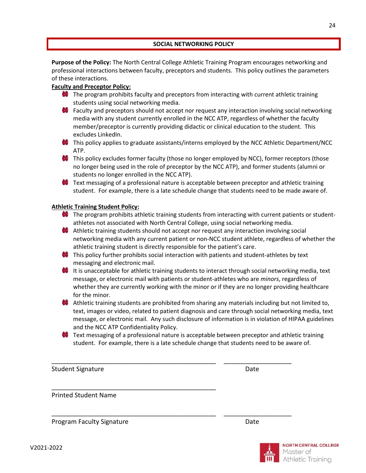#### **SOCIAL NETWORKING POLICY**

<span id="page-23-0"></span>**Purpose of the Policy:** The North Central College Athletic Training Program encourages networking and professional interactions between faculty, preceptors and students. This policy outlines the parameters of these interactions.

# **Faculty and Preceptor Policy:**

- $\bullet$  The program prohibits faculty and preceptors from interacting with current athletic training students using social networking media.
- **EX** Faculty and preceptors should not accept nor request any interaction involving social networking media with any student currently enrolled in the NCC ATP, regardless of whether the faculty member/preceptor is currently providing didactic or clinical education to the student. This excludes LinkedIn.
- **This policy applies to graduate assistants/interns employed by the NCC Athletic Department/NCC** ATP.
- This policy excludes former faculty (those no longer employed by NCC), former receptors (those no longer being used in the role of preceptor by the NCC ATP), and former students (alumni or students no longer enrolled in the NCC ATP).
- $\bullet$  Text messaging of a professional nature is acceptable between preceptor and athletic training student. For example, there is a late schedule change that students need to be made aware of.

# **Athletic Training Student Policy:**

- $\bullet$  The program prohibits athletic training students from interacting with current patients or studentathletes not associated with North Central College, using social networking media.
- Athletic training students should not accept nor request any interaction involving social networking media with any current patient or non-NCC student athlete, regardless of whether the athletic training student is directly responsible for the patient's care.
- **This policy further prohibits social interaction with patients and student-athletes by text** messaging and electronic mail.
- It is unacceptable for athletic training students to interact through social networking media, text message, or electronic mail with patients or student-athletes who are *minors*, regardless of whether they are currently working with the minor or if they are no longer providing healthcare for the minor.
- $\bullet\bullet\bullet$  Athletic training students are prohibited from sharing any materials including but not limited to, text, images or video, related to patient diagnosis and care through social networking media, text message, or electronic mail. Any such disclosure of information is in violation of HIPAA guidelines and the NCC ATP Confidentiality Policy.
- $\bullet$  Text messaging of a professional nature is acceptable between preceptor and athletic training student. For example, there is a late schedule change that students need to be aware of.

\_\_\_\_\_\_\_\_\_\_\_\_\_\_\_\_\_\_\_\_\_\_\_\_\_\_\_\_\_\_\_\_\_\_\_\_\_\_\_\_\_\_\_\_\_\_ \_\_\_\_\_\_\_\_\_\_\_\_\_\_\_\_\_\_\_

\_\_\_\_\_\_\_\_\_\_\_\_\_\_\_\_\_\_\_\_\_\_\_\_\_\_\_\_\_\_\_\_\_\_\_\_\_\_\_\_\_\_\_\_\_\_ \_\_\_\_\_\_\_\_\_\_\_\_\_\_\_\_\_\_\_

\_\_\_\_\_\_\_\_\_\_\_\_\_\_\_\_\_\_\_\_\_\_\_\_\_\_\_\_\_\_\_\_\_\_\_\_\_\_\_\_\_\_\_\_\_\_

Student Signature Date Date Date

Printed Student Name

Program Faculty Signature **Date** Date

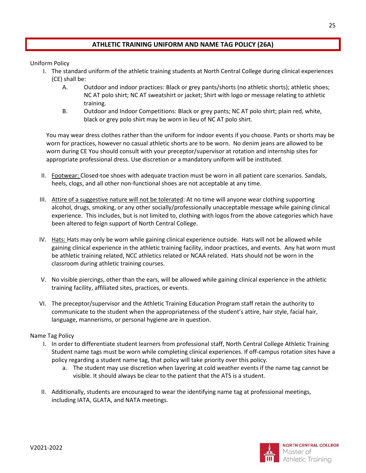# <span id="page-24-0"></span>**ATHLETIC TRAINING UNIFORM AND NAME TAG POLICY (26A)**

Uniform Policy

- I. The standard uniform of the athletic training students at North Central College during clinical experiences (CE) shall be:
	- A. Outdoor and indoor practices: Black or grey pants/shorts (no athletic shorts); athletic shoes; NC AT polo shirt; NC AT sweatshirt or jacket; Shirt with logo or message relating to athletic training.
	- B. Outdoor and Indoor Competitions: Black or grey pants; NC AT polo shirt; plain red, white, black or grey polo shirt may be worn in lieu of NC AT polo shirt.

You may wear dress clothes rather than the uniform for indoor events if you choose. Pants or shorts may be worn for practices, however no casual athletic shorts are to be worn. No denim jeans are allowed to be worn during CE You should consult with your preceptor/supervisor at rotation and internship sites for appropriate professional dress. Use discretion or a mandatory uniform will be instituted.

- II. Footwear: Closed-toe shoes with adequate traction must be worn in all patient care scenarios. Sandals, heels, clogs, and all other non-functional shoes are not acceptable at any time.
- III. Attire of a suggestive nature will not be tolerated: At no time will anyone wear clothing supporting alcohol, drugs, smoking, or any other socially/professionally unacceptable message while gaining clinical experience. This includes, but is not limited to, clothing with logos from the above categories which have been altered to feign support of North Central College.
- IV. Hats: Hats may only be worn while gaining clinical experience outside. Hats will not be allowed while gaining clinical experience in the athletic training facility, indoor practices, and events. Any hat worn must be athletic training related, NCC athletics related or NCAA related. Hats should not be worn in the classroom during athletic training courses.
- V. No visible piercings, other than the ears, will be allowed while gaining clinical experience in the athletic training facility, affiliated sites, practices, or events.
- VI. The preceptor/supervisor and the Athletic Training Education Program staff retain the authority to communicate to the student when the appropriateness of the student's attire, hair style, facial hair, language, mannerisms, or personal hygiene are in question.

# Name Tag Policy

- I. In order to differentiate student learners from professional staff, North Central College Athletic Training Student name tags must be worn while completing clinical experiences. If off-campus rotation sites have a policy regarding a student name tag, that policy will take priority over this policy.
	- a. The student may use discretion when layering at cold weather events if the name tag cannot be visible. It should always be clear to the patient that the ATS is a student.
- II. Additionally, students are encouraged to wear the identifying name tag at professional meetings, including IATA, GLATA, and NATA meetings.

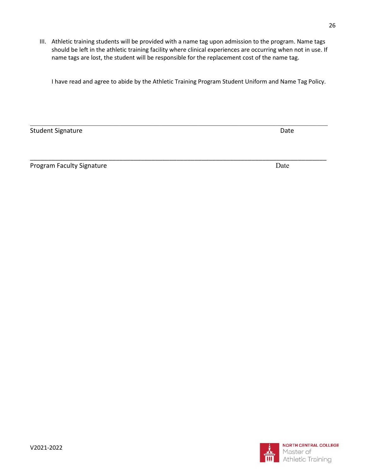III. Athletic training students will be provided with a name tag upon admission to the program. Name tags should be left in the athletic training facility where clinical experiences are occurring when not in use. If name tags are lost, the student will be responsible for the replacement cost of the name tag.

I have read and agree to abide by the Athletic Training Program Student Uniform and Name Tag Policy.

\_\_\_\_\_\_\_\_\_\_\_\_\_\_\_\_\_\_\_\_\_\_\_\_\_\_\_\_\_\_\_\_\_\_\_\_\_\_\_\_\_\_\_\_\_\_\_\_\_\_\_\_\_\_\_\_\_\_\_\_\_\_\_\_\_\_\_\_\_\_\_\_\_\_\_\_\_\_\_\_\_\_\_

Student Signature Date Date of the United Student Signature Date Date

Program Faculty Signature Date Date Date

\_\_\_\_\_\_\_\_\_\_\_\_\_\_\_\_\_\_\_\_\_\_\_\_\_\_\_\_\_\_\_\_\_\_\_\_\_\_\_\_\_\_\_\_\_\_\_\_\_\_\_\_\_\_\_\_\_\_\_\_\_\_\_\_\_\_\_\_\_\_\_\_\_\_\_\_\_\_\_\_\_\_\_

NORTH CENTRAL COLLEGE Master of Athletic Training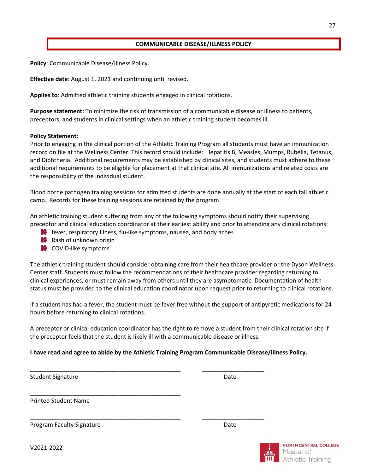#### **COMMUNICABLE DISEASE/ILLNESS POLICY**

<span id="page-26-0"></span>**Policy**: Communicable Disease/Illness Policy.

**Effective date**: August 1, 2021 and continuing until revised.

**Applies to**: Admitted athletic training students engaged in clinical rotations.

**Purpose statement:** To minimize the risk of transmission of a communicable disease or illness to patients, preceptors, and students in clinical settings when an athletic training student becomes ill.

#### **Policy Statement:**

Prior to engaging in the clinical portion of the Athletic Training Program all students must have an immunization record on file at the Wellness Center. This record should include: Hepatitis B, Measles, Mumps, Rubella, Tetanus, and Diphtheria. Additional requirements may be established by clinical sites, and students must adhere to these additional requirements to be eligible for placement at that clinical site. All immunizations and related costs are the responsibility of the individual student.

Blood borne pathogen training sessions for admitted students are done annually at the start of each fall athletic camp. Records for these training sessions are retained by the program.

An athletic training student suffering from any of the following symptoms should notify their supervising preceptor and clinical education coordinator at their earliest ability and prior to attending any clinical rotations:

- $\bullet$  fever, respiratory Illness, flu-like symptoms, nausea, and body aches
- **Rash of unknown origin**
- **COVID-like symptoms**

The athletic training student should consider obtaining care from their healthcare provider or the Dyson Wellness Center staff. Students must follow the recommendations of their healthcare provider regarding returning to clinical experiences, or must remain away from others until they are asymptomatic. Documentation of health status must be provided to the clinical education coordinator upon request prior to returning to clinical rotations.

If a student has had a fever, the student must be fever free without the support of antipyretic medications for 24 hours before returning to clinical rotations.

A preceptor or clinical education coordinator has the right to remove a student from their clinical rotation site if the preceptor feels that the student is likely ill with a communicable disease or illness.

# **I have read and agree to abide by the Athletic Training Program Communicable Disease/Illness Policy.**

\_\_\_\_\_\_\_\_\_\_\_\_\_\_\_\_\_\_\_\_\_\_\_\_\_\_\_\_\_\_\_\_\_\_\_\_\_\_\_\_\_\_\_\_\_\_ \_\_\_\_\_\_\_\_\_\_\_\_\_\_\_\_\_\_\_

\_\_\_\_\_\_\_\_\_\_\_\_\_\_\_\_\_\_\_\_\_\_\_\_\_\_\_\_\_\_\_\_\_\_\_\_\_\_\_\_\_\_\_\_\_\_ \_\_\_\_\_\_\_\_\_\_\_\_\_\_\_\_\_\_\_

Student Signature Date Date Controller and Date Date Date

Printed Student Name

Program Faculty Signature **Date** Date Date

\_\_\_\_\_\_\_\_\_\_\_\_\_\_\_\_\_\_\_\_\_\_\_\_\_\_\_\_\_\_\_\_\_\_\_\_\_\_\_\_\_\_\_\_\_\_

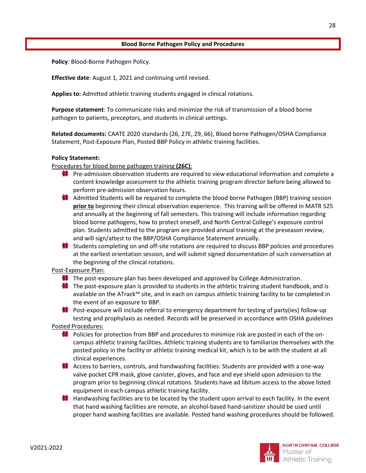#### **Blood Borne Pathogen Policy and Procedures**

<span id="page-27-0"></span>**Policy**: Blood-Borne Pathogen Policy.

**Effective date**: August 1, 2021 and continuing until revised.

**Applies to:** Admitted athletic training students engaged in clinical rotations.

**Purpose statement**: To communicate risks and minimize the risk of transmission of a blood borne pathogen to patients, preceptors, and students in clinical settings.

**Related documents:** CAATE 2020 standards (26, 27E, 29, 66), Blood borne Pathogen/OSHA Compliance Statement, Post-Exposure Plan, Posted BBP Policy in athletic training facilities.

#### **Policy Statement:**

Procedures for blood borne pathogen training **(26C)**:

- $\bullet$  Pre-admission observation students are required to view educational information and complete a content knowledge assessment to the athletic training program director before being allowed to perform pre-admission observation hours.
- **Admitted Students will be required to complete the blood borne Pathogen (BBP) training session prior to** beginning their clinical observation experience. This training will be offered in MATR 525 and annually at the beginning of fall semesters. This training will include information regarding blood borne pathogens, how to protect oneself, and North Central College's exposure control plan. Students admitted to the program are provided annual training at the preseason review, and will sign/attest to the BBP/OSHA Compliance Statement annually.
- $\bullet$  Students completing on and off-site rotations are required to discuss BBP policies and procedures at the earliest orientation session, and will submit signed documentation of such conversation at the beginning of the clinical rotations.

Post-Exposure Plan:

- **The post-exposure plan has been developed and approved by College Administration.**
- $\bullet\hspace{0.1mm}$  The post-exposure plan is provided to students in the athletic training student handbook, and is available on the ATrack™ site, and in each on campus athletic training facility to be completed in the event of an exposure to BBP.

**Post-exposure will include referral to emergency department for testing of party(ies) follow-up** testing and prophylaxis as needed. Records will be preserved in accordance with OSHA guidelines

Posted Procedures:

- Policies for protection from BBP and procedures to minimize risk are posted in each of the oncampus athletic training facilities. Athletic training students are to familiarize themselves with the posted policy in the facility or athletic training medical kit, which is to be with the student at all clinical experiences.
- **A** Access to barriers, controls, and handwashing facilities: Students are provided with a one-way valve pocket CPR mask, glove canister, gloves, and face and eye shield upon admission to the program prior to beginning clinical rotations. Students have ad libitum access to the above listed equipment in each campus athletic training facility.
- $\bullet$  Handwashing facilities are to be located by the student upon arrival to each facility. In the event that hand washing facilities are remote, an alcohol-based hand-sanitizer should be used until proper hand washing facilities are available. Posted hand washing procedures should be followed.

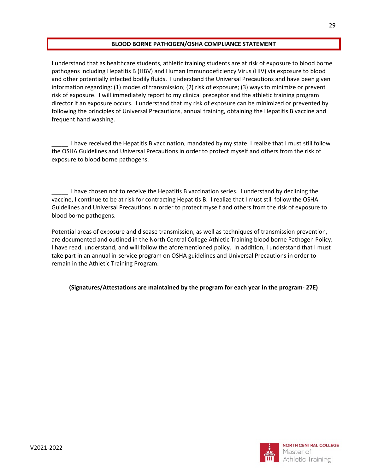# **BLOOD BORNE PATHOGEN/OSHA COMPLIANCE STATEMENT**

<span id="page-28-0"></span>I understand that as healthcare students, athletic training students are at risk of exposure to blood borne pathogens including Hepatitis B (HBV) and Human Immunodeficiency Virus (HIV) via exposure to blood and other potentially infected bodily fluids. I understand the Universal Precautions and have been given information regarding: (1) modes of transmission; (2) risk of exposure; (3) ways to minimize or prevent risk of exposure. I will immediately report to my clinical preceptor and the athletic training program director if an exposure occurs. I understand that my risk of exposure can be minimized or prevented by following the principles of Universal Precautions, annual training, obtaining the Hepatitis B vaccine and frequent hand washing.

\_\_\_\_\_ I have received the Hepatitis B vaccination, mandated by my state. I realize that I must still follow the OSHA Guidelines and Universal Precautions in order to protect myself and others from the risk of exposure to blood borne pathogens.

\_\_\_\_\_ I have chosen not to receive the Hepatitis B vaccination series. I understand by declining the vaccine, I continue to be at risk for contracting Hepatitis B. I realize that I must still follow the OSHA Guidelines and Universal Precautions in order to protect myself and others from the risk of exposure to blood borne pathogens.

Potential areas of exposure and disease transmission, as well as techniques of transmission prevention, are documented and outlined in the North Central College Athletic Training blood borne Pathogen Policy. I have read, understand, and will follow the aforementioned policy. In addition, I understand that I must take part in an annual in-service program on OSHA guidelines and Universal Precautions in order to remain in the Athletic Training Program.

# **(Signatures/Attestations are maintained by the program for each year in the program- 27E)**

**NORTH CENTRAL COLLEGE** 

Athletic Training

Master of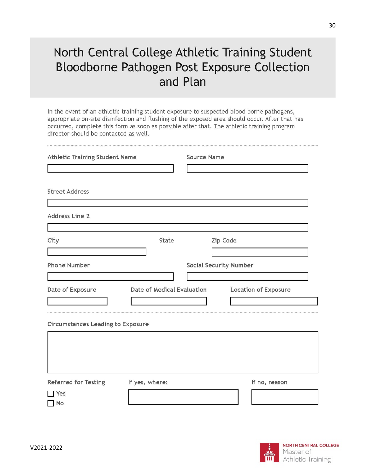# North Central College Athletic Training Student Bloodborne Pathogen Post Exposure Collection and Plan

In the event of an athletic training student exposure to suspected blood borne pathogens, appropriate on-site disinfection and flushing of the exposed area should occur. After that has occurred, complete this form as soon as possible after that. The athletic training program director should be contacted as well.

| <b>Athletic Training Student Name</b>       |                            | <b>Source Name</b>            |                             |
|---------------------------------------------|----------------------------|-------------------------------|-----------------------------|
| <b>Street Address</b>                       |                            |                               |                             |
| <b>Address Line 2</b>                       |                            |                               |                             |
| City                                        | State                      |                               | Zip Code                    |
| <b>Phone Number</b>                         |                            | <b>Social Security Number</b> |                             |
| Date of Exposure                            | Date of Medical Evaluation |                               | <b>Location of Exposure</b> |
| <b>Circumstances Leading to Exposure</b>    |                            |                               |                             |
|                                             |                            |                               |                             |
| <b>Referred for Testing</b><br>TYes<br>  No | If yes, where:             |                               | If no, reason               |

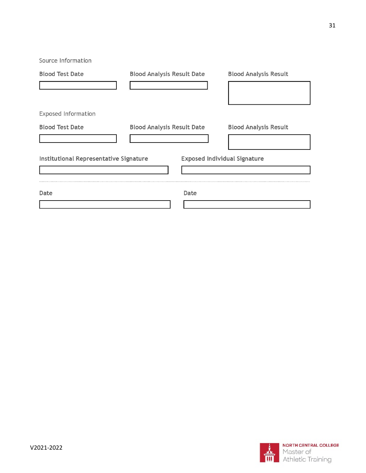Source Information **Blood Analysis Result Date Blood Analysis Result Blood Test Date** Exposed Information **Blood Analysis Result Date Blood Analysis Result Blood Test Date** Institutional Representative Signature **Exposed Individual Signature** Date Date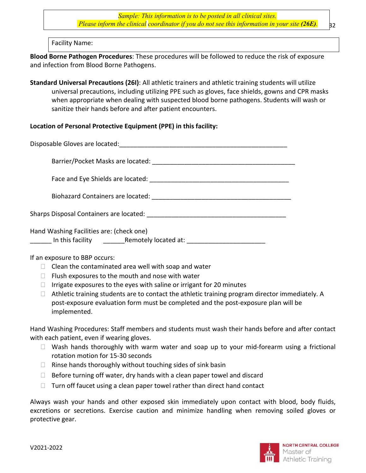*Sample: This information is to be posted in all clinical sites. Please inform the clinical coordinator if you do not see this information in your site (26E).*

Facility Name:

**Blood Borne Pathogen Procedures**: These procedures will be followed to reduce the risk of exposure and infection from Blood Borne Pathogens.

**Standard Universal Precautions (26I)**: All athletic trainers and athletic training students will utilize universal precautions, including utilizing PPE such as gloves, face shields, gowns and CPR masks when appropriate when dealing with suspected blood borne pathogens. Students will wash or sanitize their hands before and after patient encounters.

# **Location of Personal Protective Equipment (PPE) in this facility:**

Disposable Gloves are located:  $\Box$ Barrier/Pocket Masks are located: \_\_\_\_\_\_\_\_\_\_\_\_\_\_\_\_\_\_\_\_\_\_\_\_\_\_\_\_\_\_\_\_\_\_\_\_\_\_\_\_ Face and Eye Shields are located: \_\_\_\_\_\_\_\_\_\_\_\_\_\_\_\_\_\_\_\_\_\_\_\_\_\_\_\_\_\_\_\_\_\_\_\_\_\_\_ Biohazard Containers are located: \_\_\_\_\_\_\_\_\_\_\_\_\_\_\_\_\_\_\_\_\_\_\_\_\_\_\_\_\_\_\_\_\_\_\_\_\_\_\_

Sharps Disposal Containers are located: \_\_\_\_\_\_\_\_\_\_\_\_\_\_\_\_\_\_\_\_\_\_\_\_\_\_\_\_\_\_\_\_\_\_\_\_\_\_\_

Hand Washing Facilities are: (check one)

In this facility expansion Remotely located at:  $\blacksquare$ 

# If an exposure to BBP occurs:

- $\Box$  Clean the contaminated area well with soap and water
- $\Box$  Flush exposures to the mouth and nose with water
- $\Box$  Irrigate exposures to the eyes with saline or irrigant for 20 minutes
- $\Box$  Athletic training students are to contact the athletic training program director immediately. A post-exposure evaluation form must be completed and the post-exposure plan will be implemented.

Hand Washing Procedures: Staff members and students must wash their hands before and after contact with each patient, even if wearing gloves.

- $\Box$  Wash hands thoroughly with warm water and soap up to your mid-forearm using a frictional rotation motion for 15-30 seconds
- $\Box$  Rinse hands thoroughly without touching sides of sink basin
- $\Box$  Before turning off water, dry hands with a clean paper towel and discard
- $\Box$  Turn off faucet using a clean paper towel rather than direct hand contact

Always wash your hands and other exposed skin immediately upon contact with blood, body fluids, excretions or secretions. Exercise caution and minimize handling when removing soiled gloves or protective gear.

**B2**